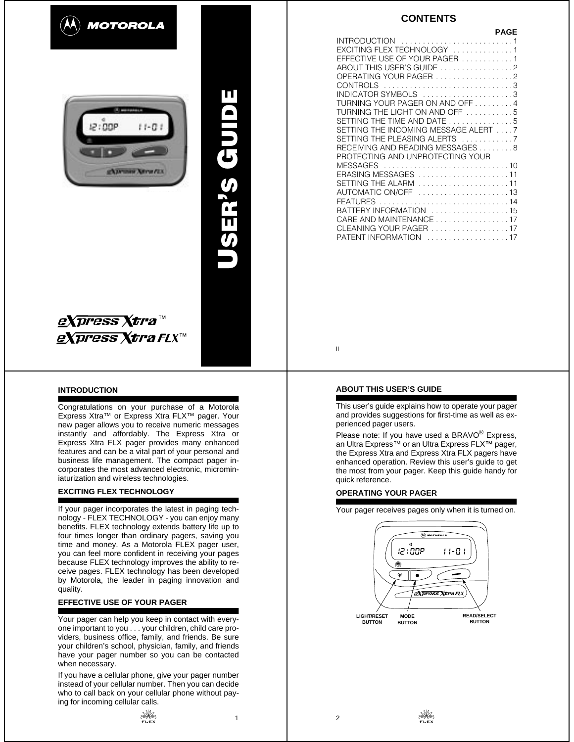



**USER '**

**S GUIDE**

g**Xpress Xtra**™ *eXpress Xtra FL*X™

#### **INTRODUCTION**

Congratulations on your purchase of a Motorola Express Xtra™ or Express Xtra FLX™ pager. Your new pager allows you to receive numeric messages instantly and affordably. The Express Xtra or Express Xtra FLX pager provides many enhanced features and can be a vital part of your personal and business life management. The compact pager incorporates the most advanced electronic, microminiaturization and wireless technologies.

## **EXCITING FLEX TECHNOLOGY**

If your pager incorporates the latest in paging technology - FLEX TECHNOLOGY - you can enjoy many benefits. FLEX technology extends battery life up to four times longer than ordinary pagers, saving you time and money. As a Motorola FLEX pager user, you can feel more confident in receiving your pages because FLEX technology improves the ability to receive pages. FLEX technology has been developed by Motorola, the leader in paging innovation and quality.

## **EFFECTIVE USE OF YOUR PAGER**

Your pager can help you keep in contact with everyone important to you . . . your children, child care providers, business office, family, and friends. Be sure your children's school, physician, family, and friends have your pager number so you can be contacted when necessary.

If you have a cellular phone, give your pager number instead of your cellular number. Then you can decide who to call back on your cellular phone without paying for incoming cellular calls.

 $\frac{1}{2}$ 



| EXCITING FLEX TECHNOLOGY 1<br>EFFECTIVE USE OF YOUR PAGER 1<br>ABOUT THIS USER'S GUIDE 2<br>OPERATING YOUR PAGER 2<br>CONTROLS 3<br>INDICATOR SYMBOLS 3<br>TURNING YOUR PAGER ON AND OFF4 | <b>PAGE</b> |
|-------------------------------------------------------------------------------------------------------------------------------------------------------------------------------------------|-------------|
|                                                                                                                                                                                           |             |
|                                                                                                                                                                                           |             |
|                                                                                                                                                                                           |             |
|                                                                                                                                                                                           |             |
|                                                                                                                                                                                           |             |
|                                                                                                                                                                                           |             |
|                                                                                                                                                                                           |             |
|                                                                                                                                                                                           |             |
| TURNING THE LIGHT ON AND OFF 5                                                                                                                                                            |             |
| SETTING THE TIME AND DATE 5                                                                                                                                                               |             |
| SETTING THE INCOMING MESSAGE ALERT 7                                                                                                                                                      |             |
| SETTING THE PLEASING ALERTS 7                                                                                                                                                             |             |
| RECEIVING AND READING MESSAGES 8                                                                                                                                                          |             |
| PROTECTING AND UNPROTECTING YOUR                                                                                                                                                          |             |
| MESSAGES 10                                                                                                                                                                               |             |
| ERASING MESSAGES 11                                                                                                                                                                       |             |
| SETTING THE ALARM 11                                                                                                                                                                      |             |
| AUTOMATIC ON/OFF 13                                                                                                                                                                       |             |
| FEATURES 14                                                                                                                                                                               |             |
| BATTERY INFORMATION 15                                                                                                                                                                    |             |
| CARE AND MAINTENANCE17                                                                                                                                                                    |             |
| CLEANING YOUR PAGER 17                                                                                                                                                                    |             |
| PATENT INFORMATION 17                                                                                                                                                                     |             |

#### **ABOUT THIS USER'S GUIDE**

ii

This user's guide explains how to operate your pager and provides suggestions for first-time as well as experienced pager users.

Please note: If you have used a BRAVO<sup>®</sup> Express, an Ultra Express™ or an Ultra Express FLX™ pager, the Express Xtra and Express Xtra FLX pagers have enhanced operation. Review this user's guide to get the most from your pager. Keep this guide handy for quick reference.

## **OPERATING YOUR PAGER**

Your pager receives pages only when it is turned on.

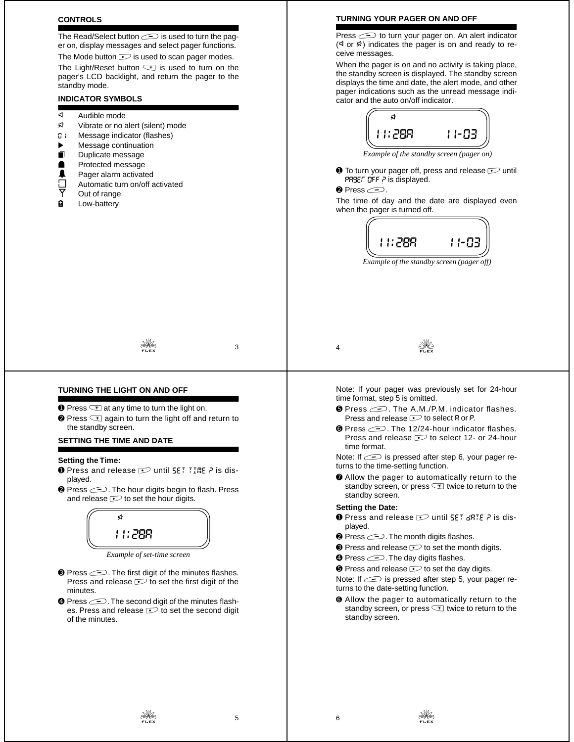#### **CONTROLS**

The Read/Select button  $\equiv$  is used to turn the pager on, display messages and select pager functions.

The Mode button  $\sim$  is used to scan pager modes. The Light/Reset button  $\leq$  is used to turn on the pager's LCD backlight, and return the pager to the standby mode.

# **INDICATOR SYMBOLS**

- 
- d Audible mode<br> **Ex** Vibrate or no a Vibrate or no alert (silent) mode
- D: Message indicator (flashes)
- Message continuation
- $\blacksquare$  Duplicate message
- Protected message<br>**4** Pager alarm activate
- 
- $\Box$  Pager alarm activated<br> $\Box$  Automatic turn on/off a<br> $\overline{Y}$  Out of range Automatic turn on/off activated
- Out of range
- **H** Low-battery

#### **TURNING YOUR PAGER ON AND OFF**

Press  $\equiv$  to turn your pager on. An alert indicator  $(4$  or  $4$ ) indicates the pager is on and ready to receive messages.

When the pager is on and no activity is taking place, the standby screen is displayed. The standby screen displays the time and date, the alert mode, and other pager indications such as the unread message indicator and the auto on/off indicator.



*Example of the standby screen (pager on)*

 $\bullet$  To turn your pager off, press and release  $\circ$  until PRSEF OFF P is displayed.

#### $\bullet$  Press  $\circledcirc$ .

The time of day and the date are displayed even when the pager is turned off.



*Example of the standby screen (pager off)*

 $\frac{1}{2}$  3

# **TURNING THE LIGHT ON AND OFF**

- $\bullet$  Press  $\textcircled{\tiny{\textsf{T}}}$  at any time to turn the light on.
- $\bullet$  Press  $\textcircled{\tiny{\textsf{F}}}$  again to turn the light off and return to the standby screen.

#### **SETTING THE TIME AND DATE**

#### **Setting the Time:**

- **O** Press and release  $\sim$  until  $55$  TTME ? is displayed.
- <sup>●</sup> Press  $\textcircled{\textit{=}}$ . The hour digits begin to flash. Press and release  $\sim$  to set the hour digits.



*Example of set-time screen*

- **•** Press  $\textcircled{\textit{=}}$ . The first digit of the minutes flashes. Press and release  $\sim$  to set the first digit of the minutes.
- **☉** Press  $\textcircled{\textit{=}}$ . The second digit of the minutes flashes. Press and release  $\sim$  to set the second digit of the minutes.

Note: If your pager was previously set for 24-hour time format, step 5 is omitted.

 $\frac{1}{2}$ 

- **O** Press  $\textcircled{\text{-}}$ . The A.M./P.M. indicator flashes. Press and release  $\sim$  to select R or P.
- **O** Press 2. The 12/24-hour indicator flashes. Press and release  $\sim$  to select 12- or 24-hour time format.

Note: If  $\equiv$  is pressed after step 6, your pager returns to the time-setting function.

 $\odot$  Allow the pager to automatically return to the standby screen, or press  $\leq$  twice to return to the standby screen.

#### **Setting the Date:**

- **O** Press and release  $\sim$  until SET dRTE P is displayed.
- $\odot$  Press  $\odot$ . The month digits flashes.
- $\odot$  Press and release  $\odot$  to set the month digits.
- $\bullet$  Press  $\circ$ . The day digits flashes.
- $\bullet$  Press and release  $\bullet$  to set the day digits.

Note: If  $\implies$  is pressed after step 5, your pager returns to the date-setting function.

➏ Allow the pager to automatically return to the standby screen, or press  $\equiv$  twice to return to the standby screen.

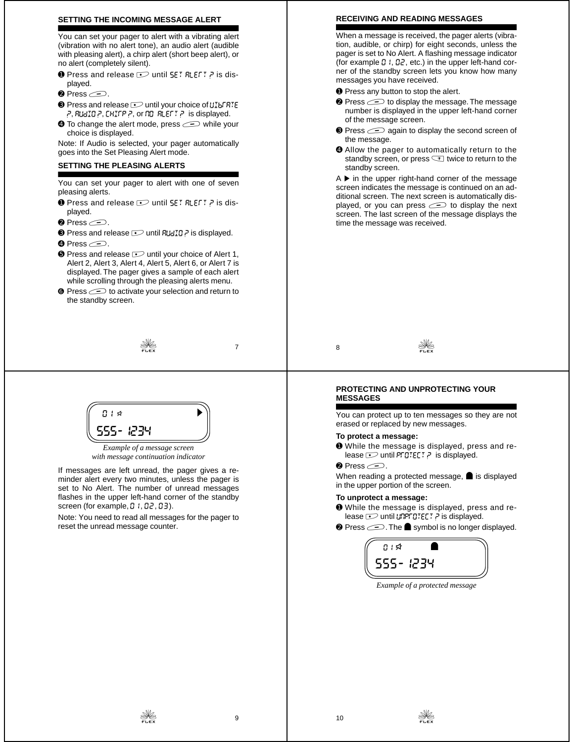#### **SETTING THE INCOMING MESSAGE ALERT**

You can set your pager to alert with a vibrating alert (vibration with no alert tone), an audio alert (audible with pleasing alert), a chirp alert (short beep alert), or no alert (completely silent).

- **O** Press and release  $\sim$  until SET RLEFT ? is displayed.
- $\bullet$  Press  $\circledcirc$ .
- $\odot$  Press and release  $\odot$  until your choice of  $\mathcal{U}_1^T$  as  $\mathcal{E}_2^T$  $P$ , AUdIO  $P$ , CHIFP  $P$ , or nO ALEFT  $P$  is displayed.
- $\bullet$  To change the alert mode, press  $\text{S}$  while your choice is displayed.

Note: If Audio is selected, your pager automatically goes into the Set Pleasing Alert mode.

#### **SETTING THE PLEASING ALERTS**

You can set your pager to alert with one of seven pleasing alerts.

- **O** Press and release  $\sim$  until SET RLEFT ? is displayed.
- $\bullet$  Press  $\circledcirc$ .
- $\odot$  Press and release  $\odot$  until  $R \cup I \cup I$  is displayed.
- **O** Press  $\subseteq$ .
- $\bullet$  Press and release  $\circlearrowright$  until your choice of Alert 1, Alert 2, Alert 3, Alert 4, Alert 5, Alert 6, or Alert 7 is displayed. The pager gives a sample of each alert while scrolling through the pleasing alerts menu.
- **☉** Press  $\textcircled{}$  to activate your selection and return to the standby screen.

# $\frac{1}{2}$

 $B + A$ 555-1234

*Example of a message screen with message continuation indicator*

If messages are left unread, the pager gives a reminder alert every two minutes, unless the pager is set to No Alert. The number of unread messages flashes in the upper left-hand corner of the standby screen (for example,  $0, 0, 0, 0, 0$ ).

Note: You need to read all messages for the pager to reset the unread message counter.

#### **RECEIVING AND READING MESSAGES**

When a message is received, the pager alerts (vibration, audible, or chirp) for eight seconds, unless the pager is set to No Alert. A flashing message indicator (for example  $\Omega$  I,  $\Omega$ 2, etc.) in the upper left-hand corner of the standby screen lets you know how many messages you have received.

- ➊ Press any button to stop the alert.
- **<sup>●</sup>** Press  $\text{ } \text{ }$  to display the message. The message number is displayed in the upper left-hand corner of the message screen.
- $\bullet$  Press  $\circ$  again to display the second screen of the message.
- ➍ Allow the pager to automatically return to the standby screen, or press  $\leq$  twice to return to the standby screen.

 $A \triangleright$  in the upper right-hand corner of the message screen indicates the message is continued on an additional screen. The next screen is automatically displayed, or you can press  $\implies$  to display the next screen. The last screen of the message displays the time the message was received.

<sup>8</sup> e

#### **PROTECTING AND UNPROTECTING YOUR MESSAGES**

You can protect up to ten messages so they are not erased or replaced by new messages.

#### **To protect a message:**

- ➊ While the message is displayed, press and release  $\sim$  until PFDTECT P is displayed.
- $\bullet$  Press  $\circ$ .

When reading a protected message,  $\blacksquare$  is displayed in the upper portion of the screen.

#### **To unprotect a message:**

- ➊ While the message is displayed, press and release  $\sim$  until unprotect ? is displayed.
- $\odot$  Press  $\odot$ . The  $\bullet$  symbol is no longer displayed.



*Example of a protected message*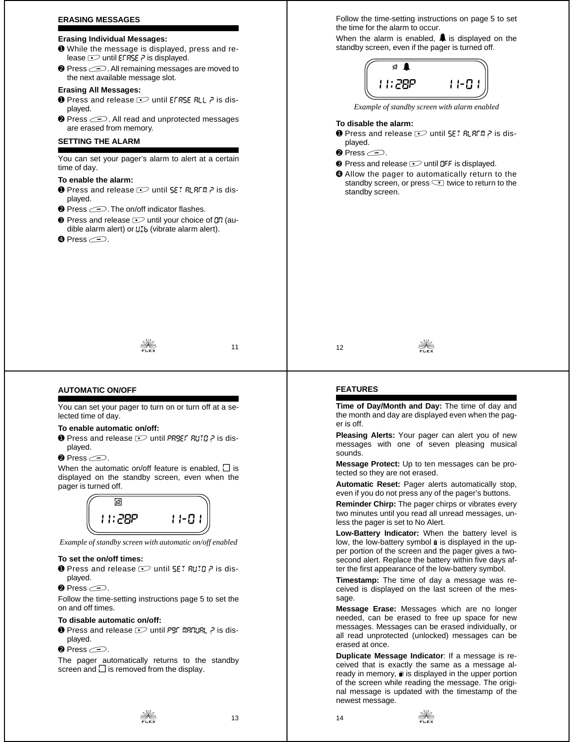#### **ERASING MESSAGES**

# **Erasing Individual Messages:**

- ➊ While the message is displayed, press and release  $\sim$  until EFRSE ? is displayed.
- **<sup>●</sup>** Press  $\text{□}$ . All remaining messages are moved to the next available message slot.

# **Erasing All Messages:**

- $\bullet$  Press and release  $\circ$  until EFRSE RLL ? is displayed.
- <sup>●</sup> Press  $\textcircled{2}$ . All read and unprotected messages are erased from memory.

# **SETTING THE ALARM**

You can set your pager's alarm to alert at a certain time of day.

## **To enable the alarm:**

- O Press and release D until SET RLAFM ? is displayed.
- <sup>●</sup> Press  $\textcircled{=}$ . The on/off indicator flashes.
- $\odot$  Press and release  $\odot$  until your choice of  $\Box$  (audible alarm alert) or  $U_{1b}$  (vibrate alarm alert).
- **O** Press  $\supseteq$ .

 $\frac{1}{2}$  11

Follow the time-setting instructions on page 5 to set the time for the alarm to occur.

When the alarm is enabled,  $\triangle$  is displayed on the standby screen, even if the pager is turned off.



*Example of standby screen with alarm enabled*

#### **To disable the alarm:**

- **O** Press and release  $\sim$  until SET RLRFM P is displayed.
- $\bullet$  Press  $\subset \supset$ .
- <sup>O</sup> Press and release  $\supseteq$  until DFF is displayed.
- ➍ Allow the pager to automatically return to the standby screen, or press  $\leq$  twice to return to the standby screen.

12  $\frac{1}{2}$ 

# **AUTOMATIC ON/OFF**

You can set your pager to turn on or turn off at a selected time of day.

# **To enable automatic on/off:**

- $\bullet$  Press and release  $\circlearrowright$  until PRSEF AUTO ? is displayed.
- $\bullet$  Press  $\circledcirc$ .

When the automatic on/off feature is enabled,  $\Box$  is displayed on the standby screen, even when the pager is turned off.



*Example of standby screen with automatic on/off enabled*

#### **To set the on/off times:**

- **O** Press and release  $\sim$  until  $55$ :  $7$  auto ? is displayed.
- $\bullet$  Press  $\circledcirc$ .

Follow the time-setting instructions page 5 to set the on and off times.

#### **To disable automatic on/off:**

- $\bullet$  Press and release  $\circlearrowright$  until Pgr manual ? is displayed.
- $\bullet$  Press  $\circledcirc$ .

The pager automatically returns to the standby screen and  $\Box$  is removed from the display.

 $\frac{1}{2}$  13

# **FEATURES**

**Time of Day/Month and Day:** The time of day and the month and day are displayed even when the pager is off.

**Pleasing Alerts:** Your pager can alert you of new messages with one of seven pleasing musical sounds.

**Message Protect:** Up to ten messages can be protected so they are not erased.

**Automatic Reset:** Pager alerts automatically stop, even if you do not press any of the pager's buttons.

**Reminder Chirp:** The pager chirps or vibrates every two minutes until you read all unread messages, unless the pager is set to No Alert.

**Low-Battery Indicator:** When the battery level is low, the low-battery symbol a is displayed in the upper portion of the screen and the pager gives a twosecond alert. Replace the battery within five days after the first appearance of the low-battery symbol.

**Timestamp:** The time of day a message was received is displayed on the last screen of the message.

**Message Erase:** Messages which are no longer needed, can be erased to free up space for new messages. Messages can be erased individually, or all read unprotected (unlocked) messages can be erased at once.

**Duplicate Message Indicator**: If a message is received that is exactly the same as a message already in memory,  $\blacksquare$  is displayed in the upper portion of the screen while reading the message. The original message is updated with the timestamp of the newest message.